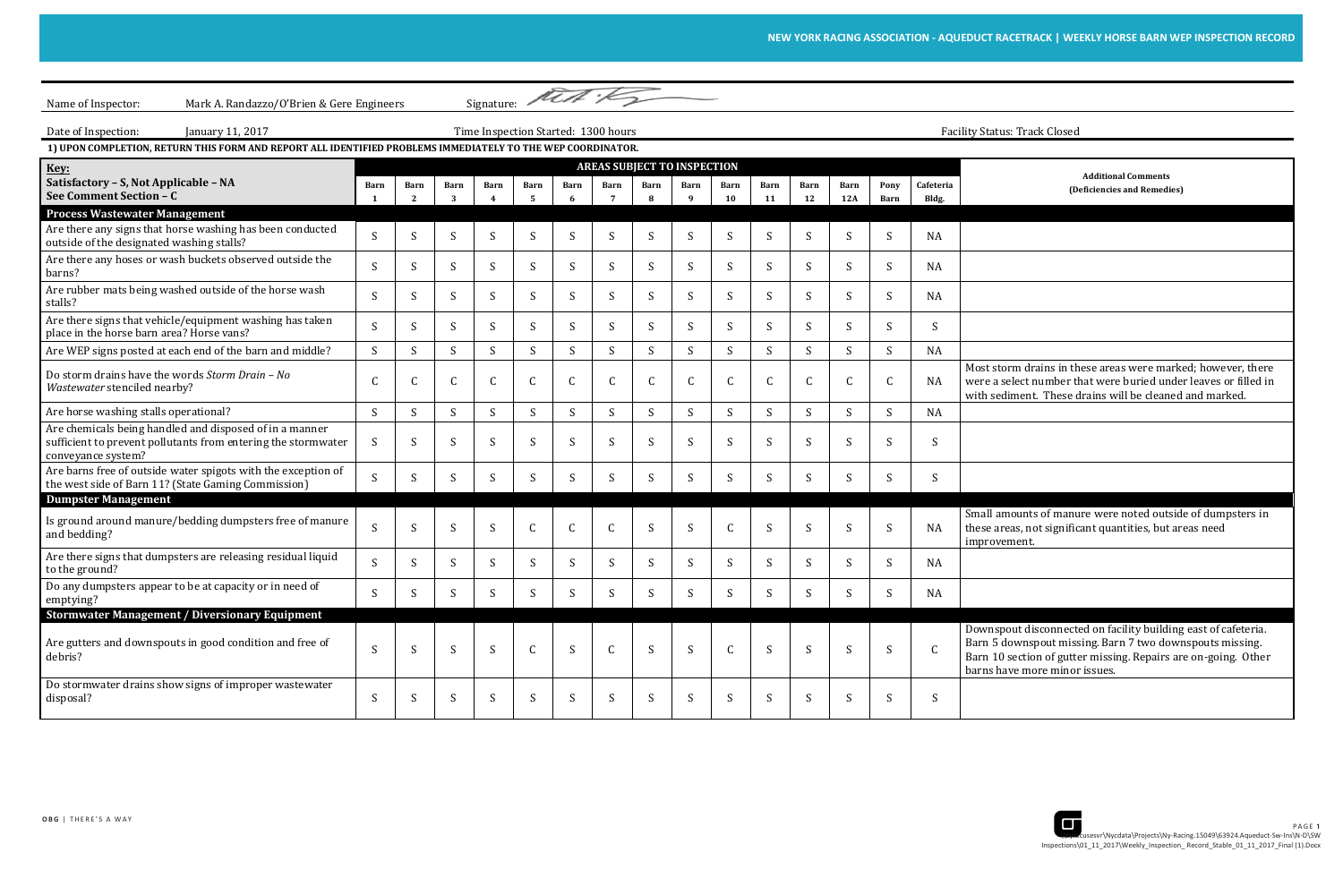t storm drains in these areas were marked; however, there were a select number that were buried under leaves or filled in sediment. These drains will be cleaned and marked.

all amounts of manure were noted outside of dumpsters in se areas, not significant quantities, but areas need rovement.

vnspout disconnected on facility building east of cafeteria. Barn 5 downspout missing. Barn 7 two downspouts missing. Barn 10 section of gutter missing. Repairs are on-going. Other is have more minor issues.

| Name of Inspector:<br>Mark A. Randazzo/O'Brien & Gere Engineers                                                                                |                                     |                         |             |              | Signature: Mill : 15 |              |              |                                            |                           |              |                                      |             |                           |              |                  |                                                                                                                                                                            |
|------------------------------------------------------------------------------------------------------------------------------------------------|-------------------------------------|-------------------------|-------------|--------------|----------------------|--------------|--------------|--------------------------------------------|---------------------------|--------------|--------------------------------------|-------------|---------------------------|--------------|------------------|----------------------------------------------------------------------------------------------------------------------------------------------------------------------------|
| Date of Inspection:<br>January 11, 2017                                                                                                        | Time Inspection Started: 1300 hours |                         |             |              |                      |              |              |                                            |                           |              | <b>Facility Status: Track Closed</b> |             |                           |              |                  |                                                                                                                                                                            |
| 1) UPON COMPLETION, RETURN THIS FORM AND REPORT ALL IDENTIFIED PROBLEMS IMMEDIATELY TO THE WEP COORDINATOR.                                    |                                     |                         |             |              |                      |              |              |                                            |                           |              |                                      |             |                           |              |                  |                                                                                                                                                                            |
| Key:<br>Satisfactory - S, Not Applicable - NA                                                                                                  | Barn                                | Barn                    | Barn        | <b>Barn</b>  | Barn                 | <b>Barn</b>  | Barn         | <b>AREAS SUBJECT TO INSPECTION</b><br>Barn | Barn                      | Barn         | <b>Barn</b>                          | Barn        | <b>Barn</b>               | Pony         | Cafeteria        | <b>Additional Comments</b><br>(Deficiencies and Remedies)                                                                                                                  |
| See Comment Section - C<br><b>Process Wastewater Management</b>                                                                                |                                     | $\overline{\mathbf{2}}$ |             |              | - 5                  | 6            |              |                                            | -9                        | 10           | 11                                   | 12          | 12A                       | Barn         | Bldg.            |                                                                                                                                                                            |
| Are there any signs that horse washing has been conducted<br>outside of the designated washing stalls?                                         | S                                   | S                       | S.          | S            | S                    | <sub>S</sub> | S.           | S                                          | S                         | S            | <sup>S</sup>                         | S           | <sup>S</sup>              | <sup>S</sup> | NA               |                                                                                                                                                                            |
| Are there any hoses or wash buckets observed outside the<br>barns?                                                                             | S                                   | S                       | $S_{\cdot}$ | S            | S                    | S.           | S            | S                                          | S                         | S            | <sup>S</sup>                         | S           | S                         | <sup>S</sup> | <b>NA</b>        |                                                                                                                                                                            |
| Are rubber mats being washed outside of the horse wash<br>stalls?                                                                              | S                                   | S                       | S           | S            | S                    | -S           | <sup>S</sup> | -S                                         | S                         | S            |                                      | S           | <sup>S</sup>              | S            | <b>NA</b>        |                                                                                                                                                                            |
| Are there signs that vehicle/equipment washing has taken<br>place in the horse barn area? Horse vans?                                          | S                                   | S                       | S           | S            | S                    | <sub>S</sub> | S            | S                                          | S                         | S            | <sub>S</sub>                         | S           | <sup>S</sup>              | S            | S                |                                                                                                                                                                            |
| Are WEP signs posted at each end of the barn and middle?                                                                                       | S                                   | S                       | S           | S            | S                    | S            | S            | S                                          | S                         | S            | S                                    | S           | S                         | S            | <b>NA</b>        |                                                                                                                                                                            |
| Do storm drains have the words Storm Drain - No<br>Wastewater stenciled nearby?                                                                | C                                   | $\mathsf C$             |             | $\mathsf{C}$ | $\mathsf{C}$         | C            |              | C                                          | $\mathsf{C}$              | $\mathsf C$  |                                      | $\mathsf C$ |                           |              | <b>NA</b>        | Most storm drains in these areas were mark<br>were a select number that were buried unde<br>with sediment. These drains will be cleaned                                    |
| Are horse washing stalls operational?                                                                                                          | S                                   | S                       | S           | S            | S                    | S            | S            | S                                          | $\boldsymbol{\mathsf{S}}$ | S            | S                                    | S           | $\boldsymbol{\mathsf{S}}$ | S            | <b>NA</b>        |                                                                                                                                                                            |
| Are chemicals being handled and disposed of in a manner<br>sufficient to prevent pollutants from entering the stormwater<br>conveyance system? | S                                   | S                       | S           | S            | S                    | <sup>S</sup> | <sup>S</sup> | -S                                         | S                         | S            | S                                    | S           |                           | S            | S                |                                                                                                                                                                            |
| Are barns free of outside water spigots with the exception of<br>the west side of Barn 11? (State Gaming Commission)                           | S                                   | S                       | S           | S            | S                    | S            | S            | S                                          | S                         | S            | S                                    | S           | <sub>S</sub>              | S            | S                |                                                                                                                                                                            |
| <b>Dumpster Management</b>                                                                                                                     |                                     |                         |             |              |                      |              |              |                                            |                           |              |                                      |             |                           |              |                  |                                                                                                                                                                            |
| Is ground around manure/bedding dumpsters free of manure<br>and bedding?                                                                       | S                                   | S                       | S           | S            | $\mathsf{C}$         | $\mathsf{C}$ |              | S                                          | S                         | $\mathsf{C}$ | <sub>S</sub>                         | S           | S                         | S            | NA               | Small amounts of manure were noted outsid<br>these areas, not significant quantities, but ar<br>improvement.                                                               |
| Are there signs that dumpsters are releasing residual liquid<br>to the ground?                                                                 | S                                   | S                       | S           | S            | S                    | S            |              | S                                          | S                         | S            | S                                    | S           | <sup>S</sup>              | S            | <b>NA</b>        |                                                                                                                                                                            |
| Do any dumpsters appear to be at capacity or in need of<br>emptying?                                                                           | S                                   | S                       | S.          | S            | S                    | S            | S            | S.                                         | S                         | S            | <sup>S</sup>                         | S           | <sub>S</sub>              | S            | NA               |                                                                                                                                                                            |
| <b>Stormwater Management / Diversionary Equipment</b>                                                                                          |                                     |                         |             |              |                      |              |              |                                            |                           |              |                                      |             |                           |              |                  |                                                                                                                                                                            |
| Are gutters and downspouts in good condition and free of<br>debris?                                                                            | S                                   | S                       | S           | S            | $\mathsf{C}$         | S            |              | S                                          | S                         | $\mathsf{C}$ | S                                    | S           | S                         | S            | $\mathsf{C}$     | Downspout disconnected on facility building<br>Barn 5 downspout missing. Barn 7 two dow<br>Barn 10 section of gutter missing. Repairs are<br>barns have more minor issues. |
| Do stormwater drains show signs of improper wastewater<br>disposal?                                                                            | S                                   | S                       | S           | S            | S                    | S            | S            | S                                          | S                         | S            | S                                    | S           | <sub>S</sub>              | S            | $\boldsymbol{S}$ |                                                                                                                                                                            |